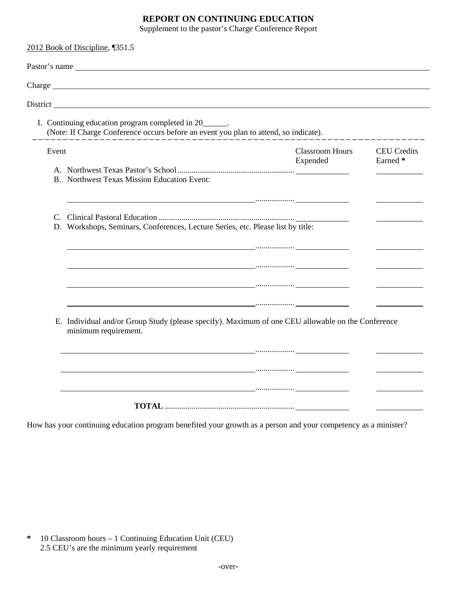## **REPORT ON CONTINUING EDUCATION**

Supplement to the pastor's Charge Conference Report

|       | I. Continuing education program completed in 20______.<br>(Note: If Charge Conference occurs before an event you plan to attend, so indicate).                                                                                                                                                                                                                                                                                                                                                                                                                                                                                                                                                                                                                                                                                                                                                                                                                             |                                    |                                |  |  |
|-------|----------------------------------------------------------------------------------------------------------------------------------------------------------------------------------------------------------------------------------------------------------------------------------------------------------------------------------------------------------------------------------------------------------------------------------------------------------------------------------------------------------------------------------------------------------------------------------------------------------------------------------------------------------------------------------------------------------------------------------------------------------------------------------------------------------------------------------------------------------------------------------------------------------------------------------------------------------------------------|------------------------------------|--------------------------------|--|--|
| Event | <b>B.</b> Northwest Texas Mission Education Event:                                                                                                                                                                                                                                                                                                                                                                                                                                                                                                                                                                                                                                                                                                                                                                                                                                                                                                                         | <b>Classroom Hours</b><br>Expended | <b>CEU</b> Credits<br>Earned * |  |  |
| C.    | D. Workshops, Seminars, Conferences, Lecture Series, etc. Please list by title:<br><u> 1980 - Johann Stein, fransk politiker (* 1900)</u>                                                                                                                                                                                                                                                                                                                                                                                                                                                                                                                                                                                                                                                                                                                                                                                                                                  |                                    |                                |  |  |
|       | $\mathcal{L} = \{x_1, x_2, \ldots, x_n\}$ . The contract of the contract of the contract of the contract of the contract of the contract of the contract of the contract of the contract of the contract of the contract of the contract of<br>$\mathcal{L} = \{ \mathcal{L}^{\mathcal{L}} \mathcal{L}^{\mathcal{L}} \mathcal{L}^{\mathcal{L}} \mathcal{L}^{\mathcal{L}} \mathcal{L}^{\mathcal{L}} \mathcal{L}^{\mathcal{L}} \mathcal{L}^{\mathcal{L}} \mathcal{L}^{\mathcal{L}} \mathcal{L}^{\mathcal{L}} \mathcal{L}^{\mathcal{L}} \mathcal{L}^{\mathcal{L}} \mathcal{L}^{\mathcal{L}} \mathcal{L}^{\mathcal{L}} \mathcal{L}^{\mathcal{L}} \mathcal{L}^{\mathcal{L}} \mathcal{L}^{\mathcal{L}} \mathcal$<br>$\mathcal{L} = \{ \mathcal{L} \mid \mathcal{L} \in \mathcal{L} \}$ . The contract of the contract of the contract of the contract of the contract of the contract of the contract of the contract of the contract of the contract of the contract of the con |                                    |                                |  |  |
|       | E. Individual and/or Group Study (please specify). Maximum of one CEU allowable on the Conference<br>minimum requirement.<br>$\mathcal{L} = \{ \mathcal{L}^{\mathcal{L}} \mathcal{L}^{\mathcal{L}} \mathcal{L}^{\mathcal{L}} \mathcal{L}^{\mathcal{L}} \mathcal{L}^{\mathcal{L}} \mathcal{L}^{\mathcal{L}} \mathcal{L}^{\mathcal{L}} \mathcal{L}^{\mathcal{L}} \mathcal{L}^{\mathcal{L}} \mathcal{L}^{\mathcal{L}} \mathcal{L}^{\mathcal{L}} \mathcal{L}^{\mathcal{L}} \mathcal{L}^{\mathcal{L}} \mathcal{L}^{\mathcal{L}} \mathcal{L}^{\mathcal{L}} \mathcal{L}^{\mathcal{L}} \mathcal$<br><u> 1990 - Jan James James Jan James James James James James James James James James James James James James Jam</u>                                                                                                                                                                                                                                                           |                                    |                                |  |  |

How has your continuing education program benefited your growth as a person and your competency as a minister?

| $\ast$ | 10 Classroom hours – 1 Continuing Education Unit (CEU) |
|--------|--------------------------------------------------------|
|        | 2.5 CEU's are the minimum yearly requirement           |